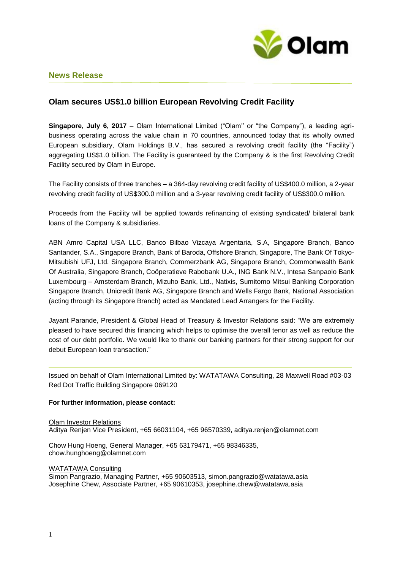

# **News Release**

# **Olam secures US\$1.0 billion European Revolving Credit Facility**

**Singapore, July 6, 2017** – Olam International Limited ("Olam'' or "the Company"), a leading agribusiness operating across the value chain in 70 countries, announced today that its wholly owned European subsidiary, Olam Holdings B.V., has secured a revolving credit facility (the "Facility") aggregating US\$1.0 billion. The Facility is guaranteed by the Company & is the first Revolving Credit Facility secured by Olam in Europe.

The Facility consists of three tranches – a 364-day revolving credit facility of US\$400.0 million, a 2-year revolving credit facility of US\$300.0 million and a 3-year revolving credit facility of US\$300.0 million.

Proceeds from the Facility will be applied towards refinancing of existing syndicated/ bilateral bank loans of the Company & subsidiaries.

ABN Amro Capital USA LLC, Banco Bilbao Vizcaya Argentaria, S.A, Singapore Branch, Banco Santander, S.A., Singapore Branch, Bank of Baroda, Offshore Branch, Singapore, The Bank Of Tokyo-Mitsubishi UFJ, Ltd. Singapore Branch, Commerzbank AG, Singapore Branch, Commonwealth Bank Of Australia, Singapore Branch, Coöperatieve Rabobank U.A., ING Bank N.V., Intesa Sanpaolo Bank Luxembourg – Amsterdam Branch, Mizuho Bank, Ltd., Natixis, Sumitomo Mitsui Banking Corporation Singapore Branch, Unicredit Bank AG, Singapore Branch and Wells Fargo Bank, National Association (acting through its Singapore Branch) acted as Mandated Lead Arrangers for the Facility.

Jayant Parande, President & Global Head of Treasury & Investor Relations said: "We are extremely pleased to have secured this financing which helps to optimise the overall tenor as well as reduce the cost of our debt portfolio. We would like to thank our banking partners for their strong support for our debut European loan transaction."

Issued on behalf of Olam International Limited by: WATATAWA Consulting, 28 Maxwell Road #03-03 Red Dot Traffic Building Singapore 069120

## **For further information, please contact:**

Olam Investor Relations Aditya Renjen Vice President, +65 66031104, +65 96570339, aditya.renjen@olamnet.com

Chow Hung Hoeng, General Manager, +65 63179471, +65 98346335, chow.hunghoeng@olamnet.com

#### WATATAWA Consulting

Simon Pangrazio, Managing Partner, +65 90603513, simon.pangrazio@watatawa.asia Josephine Chew, Associate Partner, +65 90610353, josephine.chew@watatawa.asia